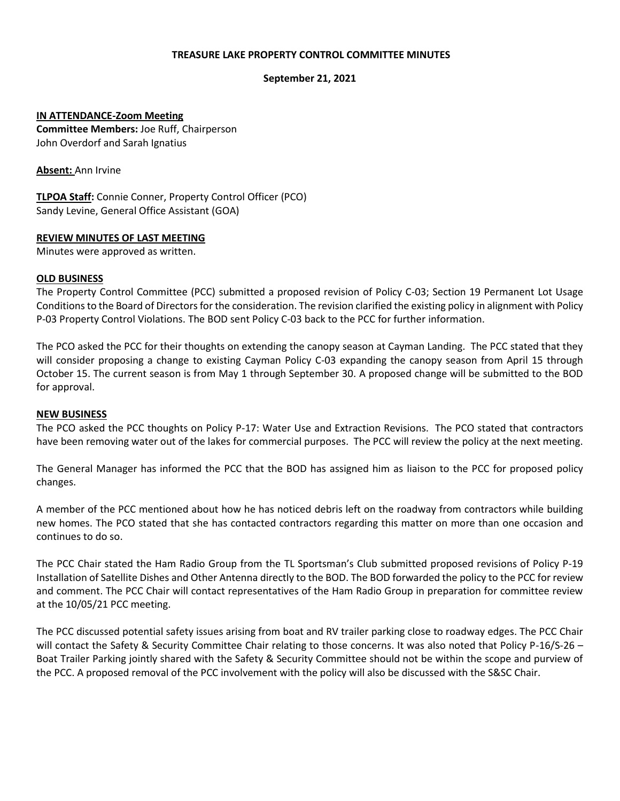### **TREASURE LAKE PROPERTY CONTROL COMMITTEE MINUTES**

### **September 21, 2021**

### **IN ATTENDANCE-Zoom Meeting**

**Committee Members:** Joe Ruff, Chairperson John Overdorf and Sarah Ignatius

**Absent:** Ann Irvine

**TLPOA Staff:** Connie Conner, Property Control Officer (PCO) Sandy Levine, General Office Assistant (GOA)

### **REVIEW MINUTES OF LAST MEETING**

Minutes were approved as written.

### **OLD BUSINESS**

The Property Control Committee (PCC) submitted a proposed revision of Policy C-03; Section 19 Permanent Lot Usage Conditionsto the Board of Directors for the consideration. The revision clarified the existing policy in alignment with Policy P-03 Property Control Violations. The BOD sent Policy C-03 back to the PCC for further information.

The PCO asked the PCC for their thoughts on extending the canopy season at Cayman Landing. The PCC stated that they will consider proposing a change to existing Cayman Policy C-03 expanding the canopy season from April 15 through October 15. The current season is from May 1 through September 30. A proposed change will be submitted to the BOD for approval.

#### **NEW BUSINESS**

The PCO asked the PCC thoughts on Policy P-17: Water Use and Extraction Revisions. The PCO stated that contractors have been removing water out of the lakes for commercial purposes. The PCC will review the policy at the next meeting.

The General Manager has informed the PCC that the BOD has assigned him as liaison to the PCC for proposed policy changes.

A member of the PCC mentioned about how he has noticed debris left on the roadway from contractors while building new homes. The PCO stated that she has contacted contractors regarding this matter on more than one occasion and continues to do so.

The PCC Chair stated the Ham Radio Group from the TL Sportsman's Club submitted proposed revisions of Policy P-19 Installation of Satellite Dishes and Other Antenna directly to the BOD. The BOD forwarded the policy to the PCC for review and comment. The PCC Chair will contact representatives of the Ham Radio Group in preparation for committee review at the 10/05/21 PCC meeting.

The PCC discussed potential safety issues arising from boat and RV trailer parking close to roadway edges. The PCC Chair will contact the Safety & Security Committee Chair relating to those concerns. It was also noted that Policy P-16/S-26 – Boat Trailer Parking jointly shared with the Safety & Security Committee should not be within the scope and purview of the PCC. A proposed removal of the PCC involvement with the policy will also be discussed with the S&SC Chair.